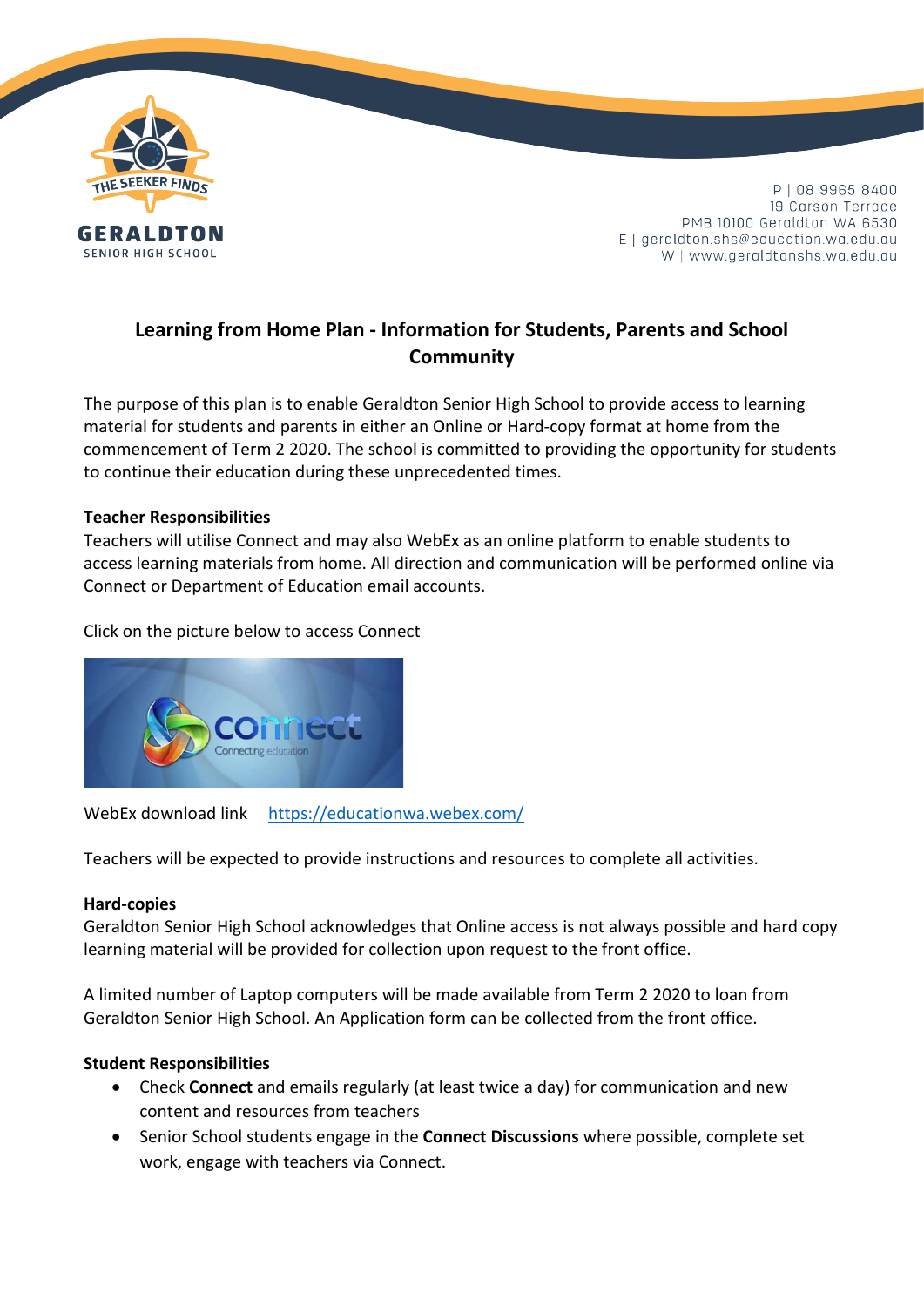

P | 08 9965 8400 19 Carson Terrace PMB 10100 Geraldton WA 6530  $E$  | geraldton.shs@education.wa.edu.au W | www.geraldtonshs.wa.edu.au

# **Learning from Home Plan - Information for Students, Parents and School Community**

The purpose of this plan is to enable Geraldton Senior High School to provide access to learning material for students and parents in either an Online or Hard-copy format at home from the commencement of Term 2 2020. The school is committed to providing the opportunity for students to continue their education during these unprecedented times.

### **Teacher Responsibilities**

Teachers will utilise Connect and may also WebEx as an online platform to enable students to access learning materials from home. All direction and communication will be performed online via Connect or Department of Education email accounts.

Click on the picture below to access Connect



WebEx download link <https://educationwa.webex.com/>

Teachers will be expected to provide instructions and resources to complete all activities.

#### **Hard-copies**

Geraldton Senior High School acknowledges that Online access is not always possible and hard copy learning material will be provided for collection upon request to the front office.

A limited number of Laptop computers will be made available from Term 2 2020 to loan from Geraldton Senior High School. An Application form can be collected from the front office.

### **Student Responsibilities**

- Check **Connect** and emails regularly (at least twice a day) for communication and new content and resources from teachers
- Senior School students engage in the **Connect Discussions** where possible, complete set work, engage with teachers via Connect.